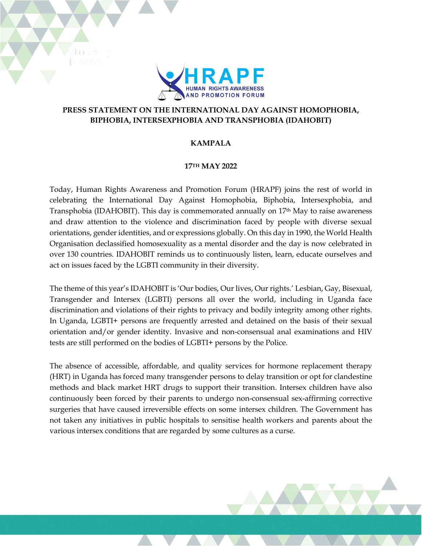

## **PRESS STATEMENT ON THE INTERNATIONAL DAY AGAINST HOMOPHOBIA, BIPHOBIA, INTERSEXPHOBIA AND TRANSPHOBIA (IDAHOBIT)**

## **KAMPALA**

## **17TH MAY 2022**

Today, Human Rights Awareness and Promotion Forum (HRAPF) joins the rest of world in celebrating the International Day Against Homophobia, Biphobia, Intersexphobia, and Transphobia (IDAHOBIT). This day is commemorated annually on  $17<sup>th</sup>$  May to raise awareness and draw attention to the violence and discrimination faced by people with diverse sexual orientations, gender identities, and or expressions globally. On this day in 1990, the World Health Organisation declassified homosexuality as a mental disorder and the day is now celebrated in over 130 countries. IDAHOBIT reminds us to continuously listen, learn, educate ourselves and act on issues faced by the LGBTI community in their diversity.

The theme of this year's IDAHOBIT is 'Our bodies, Our lives, Our rights.' Lesbian, Gay, Bisexual, Transgender and Intersex (LGBTI) persons all over the world, including in Uganda face discrimination and violations of their rights to privacy and bodily integrity among other rights. In Uganda, LGBTI+ persons are frequently arrested and detained on the basis of their sexual orientation and/or gender identity. Invasive and non-consensual anal examinations and HIV tests are still performed on the bodies of LGBTI+ persons by the Police.

The absence of accessible, affordable, and quality services for hormone replacement therapy (HRT) in Uganda has forced many transgender persons to delay transition or opt for clandestine methods and black market HRT drugs to support their transition. Intersex children have also continuously been forced by their parents to undergo non-consensual sex-affirming corrective surgeries that have caused irreversible effects on some intersex children. The Government has not taken any initiatives in public hospitals to sensitise health workers and parents about the various intersex conditions that are regarded by some cultures as a curse.